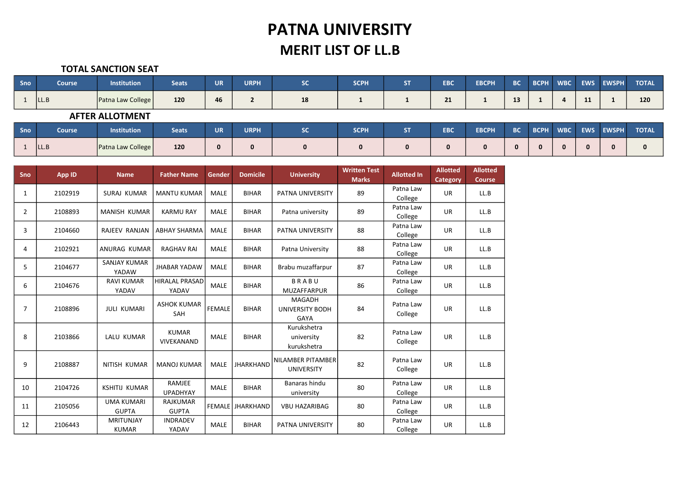# PATNA UNIVERSITY MERIT LIST OF LL.B

#### TOTAL SANCTION SEAT

| Sno        | <b>Course</b>          | <b>Institution</b> | <b>Seats</b> | <b>UR</b> | <b>URPH</b> | <b>SC</b>    | <b>SCPH</b>  | <b>ST</b> | <b>EBC</b> | <b>EBCPH</b> | <b>BC</b> | <b>BCPH</b> | <b>WBC</b> | <b>EWS</b> | <b>EWSPH</b> | <b>TOTAL</b> |
|------------|------------------------|--------------------|--------------|-----------|-------------|--------------|--------------|-----------|------------|--------------|-----------|-------------|------------|------------|--------------|--------------|
|            | ILL.B                  | Patna Law College  | 120          | 46        | <b>L</b>    | 18           |              |           | 21         |              | 13        |             |            | 11         |              | 120          |
|            | <b>AFTER ALLOTMENT</b> |                    |              |           |             |              |              |           |            |              |           |             |            |            |              |              |
| <b>Sno</b> | <b>Course</b>          | <b>Institution</b> | <b>Seats</b> | <b>UR</b> | <b>URPH</b> | <b>SC</b>    | <b>SCPH</b>  | <b>ST</b> | <b>EBC</b> | <b>EBCPH</b> | <b>BC</b> | <b>BCPH</b> | <b>WBC</b> | <b>EWS</b> | <b>EWSPH</b> | <b>TOTAL</b> |
|            | LL.B                   | Patna Law College  | 120          | $\Omega$  |             | $\mathbf{0}$ | $\mathbf{0}$ | 0         | 0          | $\mathbf{0}$ |           |             |            | 0          | $\mathbf{0}$ | 0            |

| Sno          | App ID  | <b>Name</b>                       | <b>Father Name</b>              | Gender        | <b>Domicile</b>  | <b>University</b>                               | <b>Written Test</b><br><b>Marks</b> | <b>Allotted In</b>   | <b>Allotted</b><br>Category | <b>Allotted</b><br><b>Course</b> |
|--------------|---------|-----------------------------------|---------------------------------|---------------|------------------|-------------------------------------------------|-------------------------------------|----------------------|-----------------------------|----------------------------------|
| $\mathbf{1}$ | 2102919 | SURAJ KUMAR                       | <b>MANTU KUMAR</b>              | <b>MALE</b>   | <b>BIHAR</b>     | PATNA UNIVERSITY                                | 89                                  | Patna Law<br>College | <b>UR</b>                   | LL.B                             |
| 2            | 2108893 | <b>MANISH KUMAR</b>               | <b>KARMU RAY</b>                | <b>MALE</b>   | <b>BIHAR</b>     | Patna university                                | 89                                  | Patna Law<br>College | <b>UR</b>                   | LL.B                             |
| 3            | 2104660 | RAJEEV RANJAN                     | <b>ABHAY SHARMA</b>             | <b>MALE</b>   | <b>BIHAR</b>     | <b>PATNA UNIVERSITY</b>                         | 88                                  | Patna Law<br>College | <b>UR</b>                   | LL.B                             |
| 4            | 2102921 | ANURAG KUMAR                      | <b>RAGHAV RAI</b>               | <b>MALE</b>   | <b>BIHAR</b>     | Patna University                                | 88                                  | Patna Law<br>College | <b>UR</b>                   | LL.B                             |
| 5            | 2104677 | SANJAY KUMAR<br>YADAW             | <b>JHABAR YADAW</b>             | <b>MALE</b>   | <b>BIHAR</b>     | Brabu muzaffarpur                               | 87                                  | Patna Law<br>College | <b>UR</b>                   | LL.B                             |
| 6            | 2104676 | <b>RAVI KUMAR</b><br>YADAV        | <b>HIRALAL PRASAD</b><br>YADAV  | <b>MALE</b>   | <b>BIHAR</b>     | <b>BRABU</b><br><b>MUZAFFARPUR</b>              | 86                                  | Patna Law<br>College | <b>UR</b>                   | LL.B                             |
| 7            | 2108896 | <b>JULI KUMARI</b>                | <b>ASHOK KUMAR</b><br>SAH       | <b>FEMALE</b> | <b>BIHAR</b>     | <b>MAGADH</b><br><b>UNIVERSITY BODH</b><br>GAYA | 84                                  | Patna Law<br>College | <b>UR</b>                   | LL.B                             |
| 8            | 2103866 | LALU KUMAR                        | <b>KUMAR</b><br>VIVEKANAND      | <b>MALE</b>   | <b>BIHAR</b>     | Kurukshetra<br>university<br>kurukshetra        | 82                                  | Patna Law<br>College | <b>UR</b>                   | LL.B                             |
| 9            | 2108887 | NITISH KUMAR                      | <b>MANOJ KUMAR</b>              | <b>MALE</b>   | <b>JHARKHAND</b> | <b>NILAMBER PITAMBER</b><br><b>UNIVERSITY</b>   | 82                                  | Patna Law<br>College | <b>UR</b>                   | LL.B                             |
| 10           | 2104726 | <b>KSHITIJ KUMAR</b>              | RAMJEE<br><b>UPADHYAY</b>       | <b>MALE</b>   | <b>BIHAR</b>     | Banaras hindu<br>university                     | 80                                  | Patna Law<br>College | <b>UR</b>                   | LL.B                             |
| 11           | 2105056 | <b>UMA KUMARI</b><br><b>GUPTA</b> | <b>RAJKUMAR</b><br><b>GUPTA</b> |               | FEMALE JHARKHAND | <b>VBU HAZARIBAG</b>                            | 80                                  | Patna Law<br>College | <b>UR</b>                   | LL.B                             |
| 12           | 2106443 | <b>MRITUNJAY</b><br><b>KUMAR</b>  | <b>INDRADEV</b><br>YADAV        | <b>MALE</b>   | <b>BIHAR</b>     | PATNA UNIVERSITY                                | 80                                  | Patna Law<br>College | <b>UR</b>                   | LL.B                             |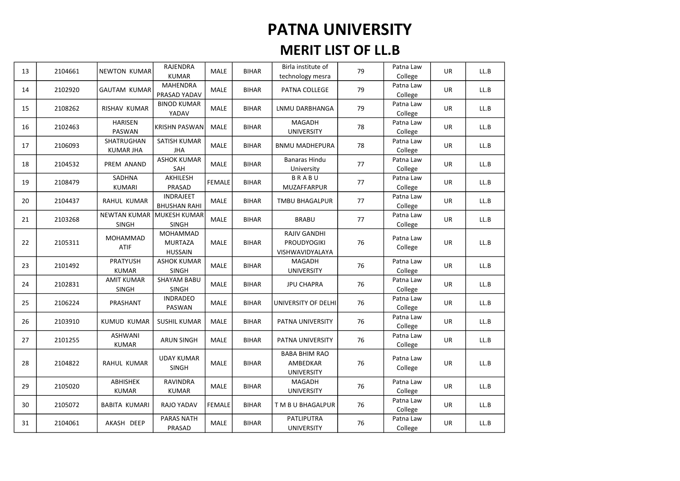| 13 | 2104661 | <b>NEWTON KUMAR</b>                 | <b>RAJENDRA</b><br><b>KUMAR</b>              | <b>MALE</b>   | <b>BIHAR</b> | Birla institute of<br>technology mesra                | 79 | Patna Law<br>College | UR        | LL.B |
|----|---------|-------------------------------------|----------------------------------------------|---------------|--------------|-------------------------------------------------------|----|----------------------|-----------|------|
| 14 | 2102920 | <b>GAUTAM KUMAR</b>                 | MAHENDRA<br>PRASAD YADAV                     | MALE          | <b>BIHAR</b> | PATNA COLLEGE                                         | 79 | Patna Law<br>College | UR        | LL.B |
| 15 | 2108262 | RISHAV KUMAR                        | <b>BINOD KUMAR</b><br>YADAV                  | <b>MALE</b>   | <b>BIHAR</b> | <b>LNMU DARBHANGA</b>                                 | 79 | Patna Law<br>College | <b>UR</b> | LL.B |
| 16 | 2102463 | <b>HARISEN</b><br><b>PASWAN</b>     | <b>KRISHN PASWAN</b>                         | MALE          | <b>BIHAR</b> | MAGADH<br><b>UNIVERSITY</b>                           | 78 | Patna Law<br>College | UR        | LL.B |
| 17 | 2106093 | SHATRUGHAN<br><b>KUMAR JHA</b>      | SATISH KUMAR<br><b>JHA</b>                   | MALE          | <b>BIHAR</b> | <b>BNMU MADHEPURA</b>                                 | 78 | Patna Law<br>College | UR        | LL.B |
| 18 | 2104532 | PREM ANAND                          | <b>ASHOK KUMAR</b><br>SAH                    | <b>MALE</b>   | <b>BIHAR</b> | <b>Banaras Hindu</b><br>University                    | 77 | Patna Law<br>College | <b>UR</b> | LL.B |
| 19 | 2108479 | SADHNA<br>KUMARI                    | AKHILESH<br>PRASAD                           | <b>FEMALE</b> | <b>BIHAR</b> | <b>BRABU</b><br>MUZAFFARPUR                           | 77 | Patna Law<br>College | <b>UR</b> | LL.B |
| 20 | 2104437 | RAHUL KUMAR                         | <b>INDRAJEET</b><br><b>BHUSHAN RAHI</b>      | MALE          | <b>BIHAR</b> | <b>TMBU BHAGALPUR</b>                                 | 77 | Patna Law<br>College | UR        | LL.B |
| 21 | 2103268 | <b>NEWTAN KUMAR</b><br><b>SINGH</b> | <b>MUKESH KUMAR</b><br><b>SINGH</b>          | MALE          | <b>BIHAR</b> | <b>BRABU</b>                                          | 77 | Patna Law<br>College | UR        | LL.B |
| 22 | 2105311 | <b>MOHAMMAD</b><br><b>ATIF</b>      | MOHAMMAD<br><b>MURTAZA</b><br><b>HUSSAIN</b> | MALE          | <b>BIHAR</b> | RAJIV GANDHI<br><b>PROUDYOGIKI</b><br>VISHWAVIDYALAYA | 76 | Patna Law<br>College | UR        | LL.B |
| 23 | 2101492 | <b>PRATYUSH</b><br><b>KUMAR</b>     | <b>ASHOK KUMAR</b><br>SINGH                  | MALE          | <b>BIHAR</b> | MAGADH<br><b>UNIVERSITY</b>                           | 76 | Patna Law<br>College | UR        | LL.B |
| 24 | 2102831 | <b>AMIT KUMAR</b><br><b>SINGH</b>   | <b>SHAYAM BABU</b><br>SINGH                  | MALE          | <b>BIHAR</b> | <b>JPU CHAPRA</b>                                     | 76 | Patna Law<br>College | UR        | LL.B |
| 25 | 2106224 | PRASHANT                            | <b>INDRADEO</b><br>PASWAN                    | <b>MALE</b>   | <b>BIHAR</b> | UNIVERSITY OF DELHI                                   | 76 | Patna Law<br>College | <b>UR</b> | LL.B |
| 26 | 2103910 | <b>KUMUD KUMAR</b>                  | <b>SUSHIL KUMAR</b>                          | <b>MALE</b>   | <b>BIHAR</b> | PATNA UNIVERSITY                                      | 76 | Patna Law<br>College | UR        | LL.B |
| 27 | 2101255 | ASHWANI<br><b>KUMAR</b>             | <b>ARUN SINGH</b>                            | <b>MALE</b>   | <b>BIHAR</b> | PATNA UNIVERSITY                                      | 76 | Patna Law<br>College | UR        | LL.B |
| 28 | 2104822 | RAHUL KUMAR                         | <b>UDAY KUMAR</b><br>SINGH                   | <b>MALE</b>   | <b>BIHAR</b> | <b>BABA BHIM RAO</b><br>AMBEDKAR<br><b>UNIVERSITY</b> | 76 | Patna Law<br>College | <b>UR</b> | LL.B |
| 29 | 2105020 | ABHISHEK<br><b>KUMAR</b>            | RAVINDRA<br>KUMAR                            | <b>MALE</b>   | <b>BIHAR</b> | MAGADH<br><b>UNIVERSITY</b>                           | 76 | Patna Law<br>College | <b>UR</b> | LL.B |
| 30 | 2105072 | <b>BABITA KUMARI</b>                | RAJO YADAV                                   | <b>FEMALE</b> | <b>BIHAR</b> | T M B U BHAGALPUR                                     | 76 | Patna Law<br>College | UR        | LL.B |
| 31 | 2104061 | AKASH DEEP                          | <b>PARAS NATH</b><br>PRASAD                  | MALE          | <b>BIHAR</b> | PATLIPUTRA<br><b>UNIVERSITY</b>                       | 76 | Patna Law<br>College | UR        | LL.B |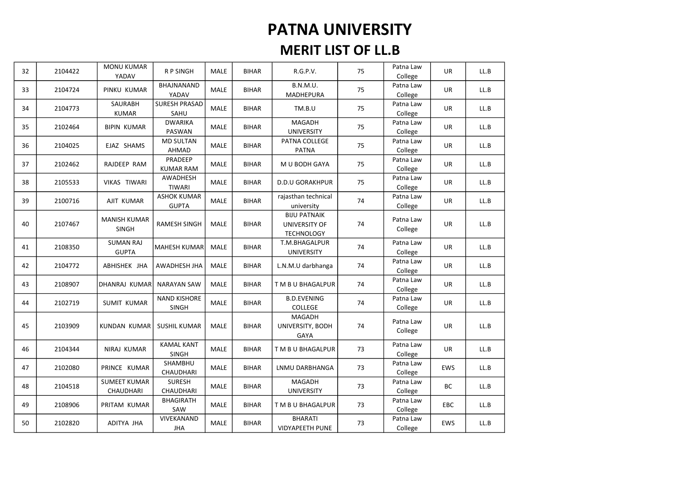| 32 | 2104422 | <b>MONU KUMAR</b><br>YADAV          | R P SINGH                          | MALE        | <b>BIHAR</b> | R.G.P.V.                                                         | 75 | Patna Law<br>College | <b>UR</b>  | LL.B |
|----|---------|-------------------------------------|------------------------------------|-------------|--------------|------------------------------------------------------------------|----|----------------------|------------|------|
| 33 | 2104724 | PINKU KUMAR                         | BHAJNANAND<br>YADAV                | <b>MALE</b> | <b>BIHAR</b> | B.N.M.U.<br>MADHEPURA                                            | 75 | Patna Law<br>College | UR         | LL.B |
| 34 | 2104773 | <b>SAURABH</b><br><b>KUMAR</b>      | <b>SURESH PRASAD</b><br>SAHU       | MALE        | <b>BIHAR</b> | TM.B.U                                                           | 75 | Patna Law<br>College | <b>UR</b>  | LL.B |
| 35 | 2102464 | <b>BIPIN KUMAR</b>                  | <b>DWARIKA</b><br>PASWAN           | MALE        | <b>BIHAR</b> | MAGADH<br><b>UNIVERSITY</b>                                      | 75 | Patna Law<br>College | <b>UR</b>  | LL.B |
| 36 | 2104025 | EJAZ SHAMS                          | <b>MD SULTAN</b><br>AHMAD          | MALE        | <b>BIHAR</b> | PATNA COLLEGE<br><b>PATNA</b>                                    | 75 | Patna Law<br>College | UR         | LL.B |
| 37 | 2102462 | RAJDEEP RAM                         | PRADEEP<br><b>KUMAR RAM</b>        | <b>MALE</b> | <b>BIHAR</b> | M U BODH GAYA                                                    | 75 | Patna Law<br>College | <b>UR</b>  | LL.B |
| 38 | 2105533 | VIKAS TIWARI                        | AWADHESH<br><b>TIWARI</b>          | MALE        | <b>BIHAR</b> | <b>D.D.U GORAKHPUR</b>                                           | 75 | Patna Law<br>College | <b>UR</b>  | LL.B |
| 39 | 2100716 | AJIT KUMAR                          | <b>ASHOK KUMAR</b><br><b>GUPTA</b> | <b>MALE</b> | <b>BIHAR</b> | rajasthan technical<br>university                                | 74 | Patna Law<br>College | <b>UR</b>  | LL.B |
| 40 | 2107467 | <b>MANISH KUMAR</b><br><b>SINGH</b> | <b>RAMESH SINGH</b>                | MALE        | <b>BIHAR</b> | <b>BIJU PATNAIK</b><br><b>UNIVERSITY OF</b><br><b>TECHNOLOGY</b> | 74 | Patna Law<br>College | <b>UR</b>  | LL.B |
| 41 | 2108350 | <b>SUMAN RAJ</b><br><b>GUPTA</b>    | <b>MAHESH KUMAR</b>                | <b>MALE</b> | <b>BIHAR</b> | T.M.BHAGALPUR<br><b>UNIVERSITY</b>                               | 74 | Patna Law<br>College | <b>UR</b>  | LL.B |
| 42 | 2104772 | ABHISHEK JHA                        | AWADHESH JHA                       | <b>MALE</b> | <b>BIHAR</b> | L.N.M.U darbhanga                                                | 74 | Patna Law<br>College | <b>UR</b>  | LL.B |
| 43 | 2108907 | DHANRAJ KUMAR                       | <b>NARAYAN SAW</b>                 | <b>MALE</b> | <b>BIHAR</b> | T M B U BHAGALPUR                                                | 74 | Patna Law<br>College | <b>UR</b>  | LL.B |
| 44 | 2102719 | <b>SUMIT KUMAR</b>                  | <b>NAND KISHORE</b><br>SINGH       | MALE        | <b>BIHAR</b> | <b>B.D.EVENING</b><br>COLLEGE                                    | 74 | Patna Law<br>College | UR         | LL.B |
| 45 | 2103909 | KUNDAN KUMAR                        | <b>SUSHIL KUMAR</b>                | MALE        | <b>BIHAR</b> | MAGADH<br>UNIVERSITY, BODH<br>GAYA                               | 74 | Patna Law<br>College | <b>UR</b>  | LL.B |
| 46 | 2104344 | NIRAJ KUMAR                         | <b>KAMAL KANT</b><br><b>SINGH</b>  | MALE        | <b>BIHAR</b> | T M B U BHAGALPUR                                                | 73 | Patna Law<br>College | <b>UR</b>  | LL.B |
| 47 | 2102080 | PRINCE KUMAR                        | SHAMBHU<br>CHAUDHARI               | <b>MALE</b> | <b>BIHAR</b> | LNMU DARBHANGA                                                   | 73 | Patna Law<br>College | <b>EWS</b> | LL.B |
| 48 | 2104518 | <b>SUMEET KUMAR</b><br>CHAUDHARI    | <b>SURESH</b><br>CHAUDHARI         | <b>MALE</b> | <b>BIHAR</b> | <b>MAGADH</b><br><b>UNIVERSITY</b>                               | 73 | Patna Law<br>College | ВC         | LL.B |
| 49 | 2108906 | PRITAM KUMAR                        | <b>BHAGIRATH</b><br>SAW            | <b>MALE</b> | <b>BIHAR</b> | T M B U BHAGALPUR                                                | 73 | Patna Law<br>College | <b>EBC</b> | LL.B |
| 50 | 2102820 | ADITYA JHA                          | VIVEKANAND<br><b>JHA</b>           | MALE        | <b>BIHAR</b> | <b>BHARATI</b><br><b>VIDYAPEETH PUNE</b>                         | 73 | Patna Law<br>College | <b>EWS</b> | LL.B |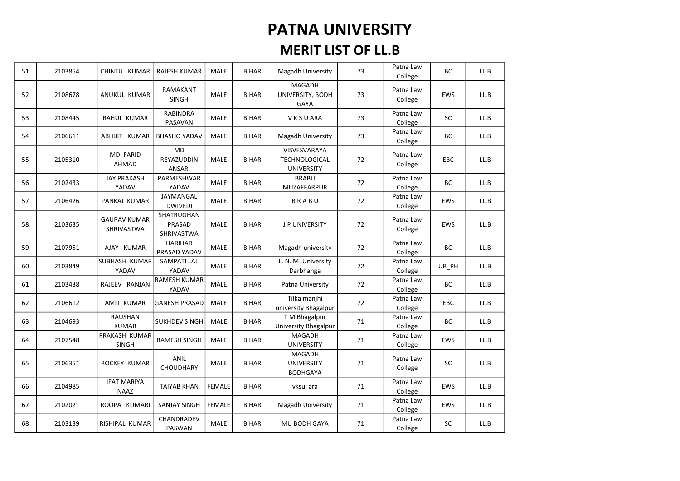| 51 | 2103854 | CHINTU KUMAR                      | <b>RAJESH KUMAR</b>                      | <b>MALE</b>   | <b>BIHAR</b> | Magadh University                                     | 73 | Patna Law<br>College | <b>BC</b>  | LL.B |
|----|---------|-----------------------------------|------------------------------------------|---------------|--------------|-------------------------------------------------------|----|----------------------|------------|------|
| 52 | 2108678 | ANUKUL KUMAR                      | RAMAKANT<br><b>SINGH</b>                 | <b>MALE</b>   | <b>BIHAR</b> | MAGADH<br>UNIVERSITY, BODH<br>GAYA                    | 73 | Patna Law<br>College | <b>EWS</b> | LL.B |
| 53 | 2108445 | RAHUL KUMAR                       | <b>RABINDRA</b><br>PASAVAN               | <b>MALE</b>   | <b>BIHAR</b> | V K S U ARA                                           | 73 | Patna Law<br>College | SC         | LL.B |
| 54 | 2106611 | ABHIJIT KUMAR                     | <b>BHASHO YADAV</b>                      | MALE          | <b>BIHAR</b> | Magadh University                                     | 73 | Patna Law<br>College | BC         | LL.B |
| 55 | 2105310 | <b>MD FARID</b><br>AHMAD          | <b>MD</b><br>REYAZUDDIN<br><b>ANSARI</b> | <b>MALE</b>   | <b>BIHAR</b> | VISVESVARAYA<br>TECHNOLOGICAL<br><b>UNIVERSITY</b>    | 72 | Patna Law<br>College | <b>EBC</b> | LL.B |
| 56 | 2102433 | <b>JAY PRAKASH</b><br>YADAV       | PARMESHWAR<br>YADAV                      | <b>MALE</b>   | <b>BIHAR</b> | <b>BRABU</b><br>MUZAFFARPUR                           | 72 | Patna Law<br>College | BC         | LL.B |
| 57 | 2106426 | PANKAJ KUMAR                      | JAYMANGAL<br><b>DWIVEDI</b>              | <b>MALE</b>   | <b>BIHAR</b> | BRABU                                                 | 72 | Patna Law<br>College | EWS        | LL.B |
| 58 | 2103635 | <b>GAURAV KUMAR</b><br>SHRIVASTWA | SHATRUGHAN<br>PRASAD<br>SHRIVASTWA       | <b>MALE</b>   | <b>BIHAR</b> | <b>JP UNIVERSITY</b>                                  | 72 | Patna Law<br>College | <b>EWS</b> | LL.B |
| 59 | 2107951 | AJAY KUMAR                        | <b>HARIHAR</b><br>PRASAD YADAV           | <b>MALE</b>   | <b>BIHAR</b> | Magadh university                                     | 72 | Patna Law<br>College | <b>BC</b>  | LL.B |
| 60 | 2103849 | SUBHASH KUMAR<br>YADAV            | SAMPATI LAL<br>YADAV                     | MALE          | <b>BIHAR</b> | L. N. M. University<br>Darbhanga                      | 72 | Patna Law<br>College | UR_PH      | LL.B |
| 61 | 2103438 | RAJEEV RANJAN                     | <b>RAMESH KUMAR</b><br>YADAV             | <b>MALE</b>   | <b>BIHAR</b> | Patna University                                      | 72 | Patna Law<br>College | <b>BC</b>  | LL.B |
| 62 | 2106612 | <b>AMIT KUMAR</b>                 | <b>GANESH PRASAD</b>                     | MALE          | <b>BIHAR</b> | Tilka manjhi<br>university Bhagalpur                  | 72 | Patna Law<br>College | EBC        | LL.B |
| 63 | 2104693 | RAUSHAN<br><b>KUMAR</b>           | <b>SUKHDEV SINGH</b>                     | <b>MALE</b>   | <b>BIHAR</b> | T M Bhagalpur<br>University Bhagalpur                 | 71 | Patna Law<br>College | BC         | LL.B |
| 64 | 2107548 | PRAKASH KUMAR<br><b>SINGH</b>     | <b>RAMESH SINGH</b>                      | <b>MALE</b>   | <b>BIHAR</b> | <b>MAGADH</b><br><b>UNIVERSITY</b>                    | 71 | Patna Law<br>College | <b>EWS</b> | LL.B |
| 65 | 2106351 | ROCKEY KUMAR                      | <b>ANIL</b><br>CHOUDHARY                 | <b>MALE</b>   | <b>BIHAR</b> | <b>MAGADH</b><br><b>UNIVERSITY</b><br><b>BODHGAYA</b> | 71 | Patna Law<br>College | <b>SC</b>  | LL.B |
| 66 | 2104985 | <b>IFAT MARIYA</b><br><b>NAAZ</b> | <b>TAIYAB KHAN</b>                       | <b>FEMALE</b> | <b>BIHAR</b> | vksu, ara                                             | 71 | Patna Law<br>College | <b>EWS</b> | LL.B |
| 67 | 2102021 | ROOPA KUMARI                      | <b>SANJAY SINGH</b>                      | <b>FEMALE</b> | <b>BIHAR</b> | Magadh University                                     | 71 | Patna Law<br>College | <b>EWS</b> | LL.B |
| 68 | 2103139 | RISHIPAL KUMAR                    | CHANDRADEV<br>PASWAN                     | <b>MALE</b>   | <b>BIHAR</b> | MU BODH GAYA                                          | 71 | Patna Law<br>College | <b>SC</b>  | LL.B |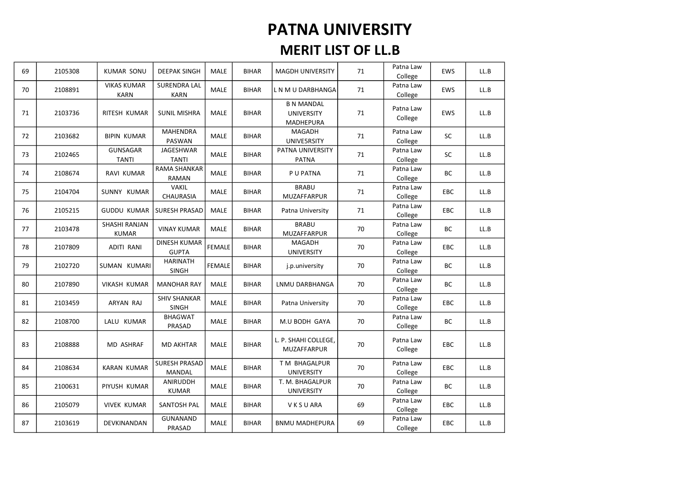| 69 | 2105308 | <b>KUMAR SONU</b>                 | <b>DEEPAK SINGH</b>                 | MALE          | <b>BIHAR</b> | <b>MAGDH UNIVERSITY</b>                             | 71 | Patna Law<br>College | <b>EWS</b> | LL.B |
|----|---------|-----------------------------------|-------------------------------------|---------------|--------------|-----------------------------------------------------|----|----------------------|------------|------|
| 70 | 2108891 | <b>VIKAS KUMAR</b><br><b>KARN</b> | <b>SURENDRA LAL</b><br><b>KARN</b>  | <b>MALE</b>   | <b>BIHAR</b> | L N M U DARBHANGA                                   | 71 | Patna Law<br>College | <b>EWS</b> | LL.B |
| 71 | 2103736 | RITESH KUMAR                      | <b>SUNIL MISHRA</b>                 | <b>MALE</b>   | <b>BIHAR</b> | <b>B N MANDAL</b><br><b>UNIVERSITY</b><br>MADHEPURA | 71 | Patna Law<br>College | EWS        | LL.B |
| 72 | 2103682 | <b>BIPIN KUMAR</b>                | <b>MAHENDRA</b><br>PASWAN           | MALE          | <b>BIHAR</b> | MAGADH<br>UNIVE5RSITY                               | 71 | Patna Law<br>College | SC         | LL.B |
| 73 | 2102465 | GUNSAGAR<br><b>TANTI</b>          | <b>JAGESHWAR</b><br><b>TANTI</b>    | MALE          | <b>BIHAR</b> | PATNA UNIVERSITY<br><b>PATNA</b>                    | 71 | Patna Law<br>College | SC         | LL.B |
| 74 | 2108674 | RAVI KUMAR                        | <b>RAMA SHANKAR</b><br><b>RAMAN</b> | <b>MALE</b>   | <b>BIHAR</b> | P U PATNA                                           | 71 | Patna Law<br>College | BC         | LL.B |
| 75 | 2104704 | SUNNY KUMAR                       | <b>VAKIL</b><br>CHAURASIA           | MALE          | <b>BIHAR</b> | <b>BRABU</b><br>MUZAFFARPUR                         | 71 | Patna Law<br>College | EBC        | LL.B |
| 76 | 2105215 | <b>GUDDU KUMAR</b>                | <b>SURESH PRASAD</b>                | <b>MALE</b>   | <b>BIHAR</b> | Patna University                                    | 71 | Patna Law<br>College | <b>EBC</b> | LL.B |
| 77 | 2103478 | SHASHI RANJAN<br><b>KUMAR</b>     | <b>VINAY KUMAR</b>                  | MALE          | <b>BIHAR</b> | <b>BRABU</b><br>MUZAFFARPUR                         | 70 | Patna Law<br>College | BC         | LL.B |
| 78 | 2107809 | <b>ADITI RANI</b>                 | <b>DINESH KUMAR</b><br><b>GUPTA</b> | <b>FEMALE</b> | <b>BIHAR</b> | MAGADH<br><b>UNIVERSITY</b>                         | 70 | Patna Law<br>College | EBC        | LL.B |
| 79 | 2102720 | SUMAN KUMARI                      | <b>HARINATH</b><br><b>SINGH</b>     | <b>FEMALE</b> | <b>BIHAR</b> | j.p.university                                      | 70 | Patna Law<br>College | <b>BC</b>  | LL.B |
| 80 | 2107890 | <b>VIKASH KUMAR</b>               | <b>MANOHAR RAY</b>                  | <b>MALE</b>   | <b>BIHAR</b> | LNMU DARBHANGA                                      | 70 | Patna Law<br>College | <b>BC</b>  | LL.B |
| 81 | 2103459 | ARYAN RAJ                         | <b>SHIV SHANKAR</b><br><b>SINGH</b> | MALE          | <b>BIHAR</b> | Patna University                                    | 70 | Patna Law<br>College | EBC        | LL.B |
| 82 | 2108700 | LALU KUMAR                        | <b>BHAGWAT</b><br>PRASAD            | <b>MALE</b>   | <b>BIHAR</b> | M.U BODH GAYA                                       | 70 | Patna Law<br>College | <b>BC</b>  | LL.B |
| 83 | 2108888 | MD ASHRAF                         | <b>MD AKHTAR</b>                    | <b>MALE</b>   | <b>BIHAR</b> | L. P. SHAHI COLLEGE,<br>MUZAFFARPUR                 | 70 | Patna Law<br>College | <b>EBC</b> | LL.B |
| 84 | 2108634 | <b>KARAN KUMAR</b>                | <b>SURESH PRASAD</b><br>MANDAL      | <b>MALE</b>   | <b>BIHAR</b> | T M BHAGALPUR<br><b>UNIVERSITY</b>                  | 70 | Patna Law<br>College | <b>EBC</b> | LL.B |
| 85 | 2100631 | PIYUSH KUMAR                      | <b>ANIRUDDH</b><br><b>KUMAR</b>     | MALE          | <b>BIHAR</b> | T. M. BHAGALPUR<br><b>UNIVERSITY</b>                | 70 | Patna Law<br>College | BC         | LL.B |
| 86 | 2105079 | <b>VIVEK KUMAR</b>                | SANTOSH PAL                         | <b>MALE</b>   | <b>BIHAR</b> | <b>VKSUARA</b>                                      | 69 | Patna Law<br>College | <b>EBC</b> | LL.B |
| 87 | 2103619 | DEVKINANDAN                       | GUNANAND<br>PRASAD                  | MALE          | <b>BIHAR</b> | <b>BNMU MADHEPURA</b>                               | 69 | Patna Law<br>College | <b>EBC</b> | LL.B |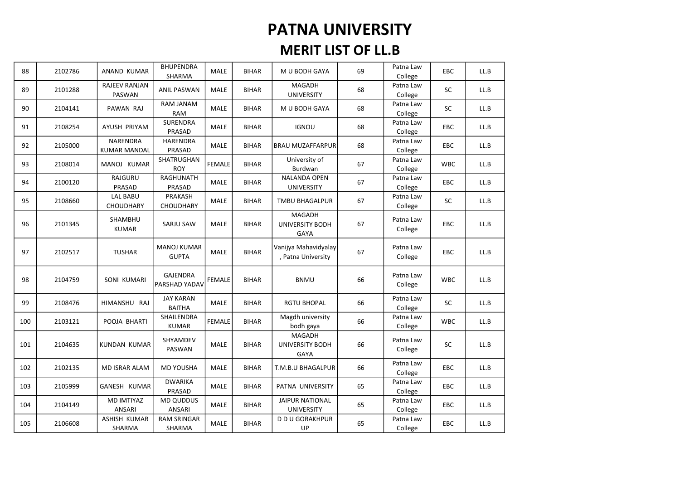| 88  | 2102786 | ANAND KUMAR                     | <b>BHUPENDRA</b><br>SHARMA         | MALE          | <b>BIHAR</b> | M U BODH GAYA                                   | 69 | Patna Law<br>College | <b>EBC</b> | LL.B |
|-----|---------|---------------------------------|------------------------------------|---------------|--------------|-------------------------------------------------|----|----------------------|------------|------|
| 89  | 2101288 | RAJEEV RANJAN<br>PASWAN         | <b>ANIL PASWAN</b>                 | <b>MALE</b>   | <b>BIHAR</b> | MAGADH<br><b>UNIVERSITY</b>                     | 68 | Patna Law<br>College | <b>SC</b>  | LL.B |
| 90  | 2104141 | PAWAN RAJ                       | RAM JANAM<br><b>RAM</b>            | MALE          | <b>BIHAR</b> | M U BODH GAYA                                   | 68 | Patna Law<br>College | SC         | LL.B |
| 91  | 2108254 | AYUSH PRIYAM                    | <b>SURENDRA</b><br>PRASAD          | MALE          | <b>BIHAR</b> | <b>IGNOU</b>                                    | 68 | Patna Law<br>College | EBC        | LL.B |
| 92  | 2105000 | NARENDRA<br><b>KUMAR MANDAL</b> | <b>HARENDRA</b><br>PRASAD          | MALE          | <b>BIHAR</b> | <b>BRAU MUZAFFARPUR</b>                         | 68 | Patna Law<br>College | <b>EBC</b> | LL.B |
| 93  | 2108014 | MANOJ KUMAR                     | SHATRUGHAN<br><b>ROY</b>           | <b>FEMALE</b> | <b>BIHAR</b> | University of<br>Burdwan                        | 67 | Patna Law<br>College | <b>WBC</b> | LL.B |
| 94  | 2100120 | RAJGURU<br>PRASAD               | RAGHUNATH<br>PRASAD                | MALE          | <b>BIHAR</b> | NALANDA OPEN<br><b>UNIVERSITY</b>               | 67 | Patna Law<br>College | <b>EBC</b> | LL.B |
| 95  | 2108660 | LAL BABU<br><b>CHOUDHARY</b>    | PRAKASH<br>CHOUDHARY               | MALE          | <b>BIHAR</b> | <b>TMBU BHAGALPUR</b>                           | 67 | Patna Law<br>College | SC         | LL.B |
| 96  | 2101345 | SHAMBHU<br><b>KUMAR</b>         | SARJU SAW                          | MALE          | <b>BIHAR</b> | MAGADH<br>UNIVERSITY BODH<br>GAYA               | 67 | Patna Law<br>College | EBC        | LL.B |
| 97  | 2102517 | <b>TUSHAR</b>                   | <b>MANOJ KUMAR</b><br><b>GUPTA</b> | <b>MALE</b>   | <b>BIHAR</b> | Vanijya Mahavidyalay<br>, Patna University      | 67 | Patna Law<br>College | <b>EBC</b> | LL.B |
| 98  | 2104759 | SONI KUMARI                     | <b>GAJENDRA</b><br>PARSHAD YADAV   | <b>FEMALE</b> | <b>BIHAR</b> | <b>BNMU</b>                                     | 66 | Patna Law<br>College | <b>WBC</b> | LL.B |
| 99  | 2108476 | HIMANSHU RAJ                    | <b>JAY KARAN</b><br><b>BAITHA</b>  | MALE          | <b>BIHAR</b> | <b>RGTU BHOPAL</b>                              | 66 | Patna Law<br>College | SC         | LL.B |
| 100 | 2103121 | POOJA BHARTI                    | SHAILENDRA<br><b>KUMAR</b>         | <b>FEMALE</b> | <b>BIHAR</b> | Magdh university<br>bodh gaya                   | 66 | Patna Law<br>College | <b>WBC</b> | LL.B |
| 101 | 2104635 | KUNDAN KUMAR                    | SHYAMDEV<br><b>PASWAN</b>          | MALE          | <b>BIHAR</b> | MAGADH<br><b>UNIVERSITY BODH</b><br><b>GAYA</b> | 66 | Patna Law<br>College | <b>SC</b>  | LL.B |
| 102 | 2102135 | MD ISRAR ALAM                   | MD YOUSHA                          | <b>MALE</b>   | <b>BIHAR</b> | T.M.B.U BHAGALPUR                               | 66 | Patna Law<br>College | EBC        | LL.B |
| 103 | 2105999 | GANESH KUMAR                    | <b>DWARIKA</b><br>PRASAD           | MALE          | <b>BIHAR</b> | PATNA UNIVERSITY                                | 65 | Patna Law<br>College | EBC        | LL.B |
| 104 | 2104149 | MD IMTIYAZ<br><b>ANSARI</b>     | <b>MD QUDDUS</b><br>ANSARI         | MALE          | <b>BIHAR</b> | <b>JAIPUR NATIONAL</b><br><b>UNIVERSITY</b>     | 65 | Patna Law<br>College | <b>EBC</b> | LL.B |
| 105 | 2106608 | <b>ASHISH KUMAR</b><br>SHARMA   | <b>RAM SRINGAR</b><br>SHARMA       | MALE          | <b>BIHAR</b> | <b>D D U GORAKHPUR</b><br>UP                    | 65 | Patna Law<br>College | <b>EBC</b> | LL.B |